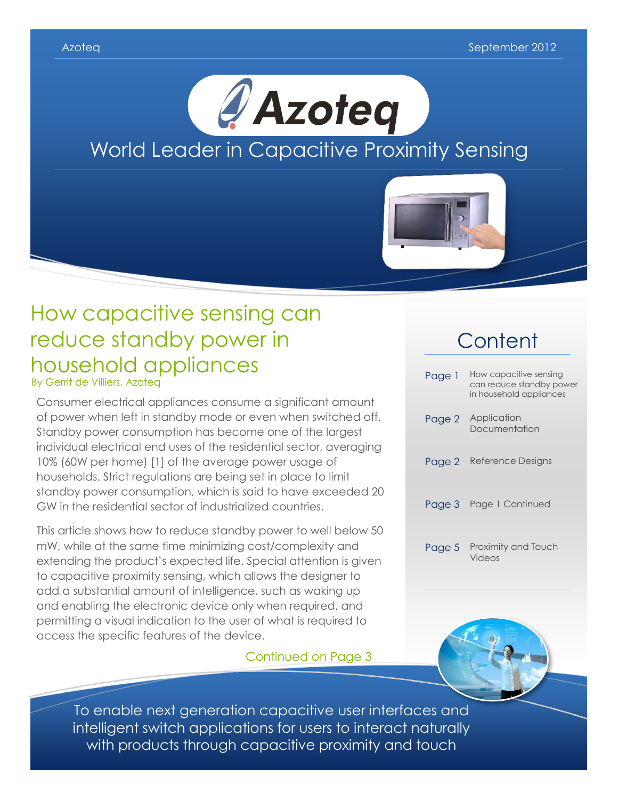

# How capacitive sensing can reduce standby power in household appliances

By Gerrit de Villiers, Azoteq

Consumer electrical appliances consume a significant amount of power when left in standby mode or even when switched off. Standby power consumption has become one of the largest individual electrical end uses of the residential sector, averaging 10% (60W per home) [1] of the average power usage of households. Strict regulations are being set in place to limit standby power consumption, which is said to have exceeded 20 GW in the residential sector of industrialized countries.

This article shows how to reduce standby power to well below 50 mW, while at the same time minimizing cost/complexity and extending the product's expected life. Special attention is given to capacitive proximity sensing, which allows the designer to add a substantial amount of intelligence, such as waking up and enabling the electronic device only when required, and permitting a visual indication to the user of what is required to access the specific features of the device.

Continued on Page 3

## **Content**

| Page 1 | How capacitive sensing<br>can reduce standby power<br>in household appliances |
|--------|-------------------------------------------------------------------------------|
| Page 2 | Application<br>Documentation                                                  |
| Page 2 | Reference Designs                                                             |
| Page 3 | Page 1 Continued                                                              |
| Page 5 | Proximity and Touch<br>Videos                                                 |



To enable next generation capacitive user interfaces and intelligent switch applications for users to interact naturally with products through capacitive proximity and touch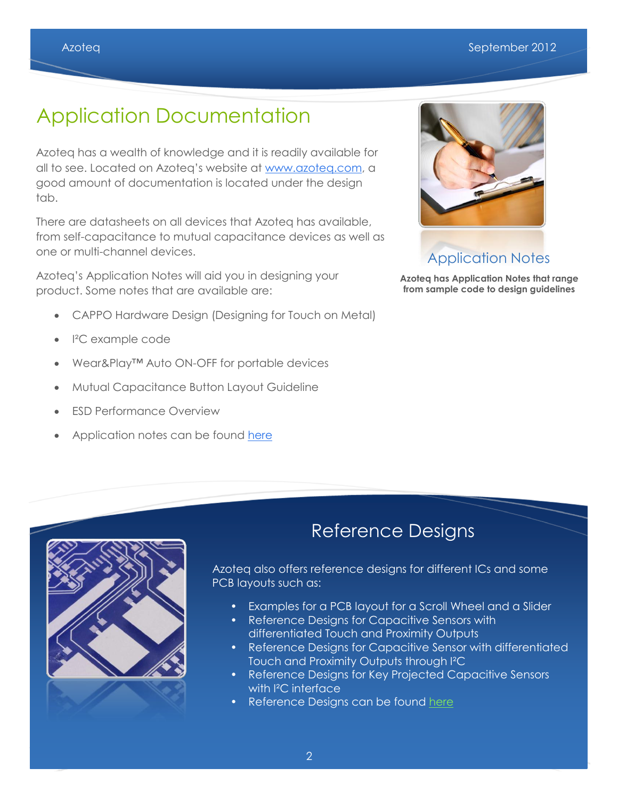# Application Documentation

Azoteq has a wealth of knowledge and it is readily available for all to see. Located on Azoteq's website at [www.azoteq.com,](http://www.azoteq.com/) a good amount of documentation is located under the design tab.

There are datasheets on all devices that Azoteq has available, from self-capacitance to mutual capacitance devices as well as one or multi-channel devices.

Azoteq's Application Notes will aid you in designing your product. Some notes that are available are:

- CAPPO Hardware Design (Designing for Touch on Metal)
- I²C example code
- Wear&Play™ Auto ON-OFF for portable devices
- Mutual Capacitance Button Layout Guideline
- ESD Performance Overview
- Application notes can be found [here](http://www.azoteq.com/proximity-switches-design/touch-capacitive-application.html)



## Application Notes

**Azoteq has Application Notes that range from sample code to design guidelines**



## Reference Designs

Azoteq also offers reference designs for different ICs and some PCB layouts such as:

- Examples for a PCB layout for a Scroll Wheel and a Slider
- Reference Designs for Capacitive Sensors with differentiated Touch and Proximity Outputs
- Reference Designs for Capacitive Sensor with differentiated Touch and Proximity Outputs through I²C
- Reference Designs for Key Projected Capacitive Sensors with <sup>2</sup>C interface
- Reference Designs can be found [here](http://www.azoteq.com/proximity-switches-design/touch-switch-reference-designs.html)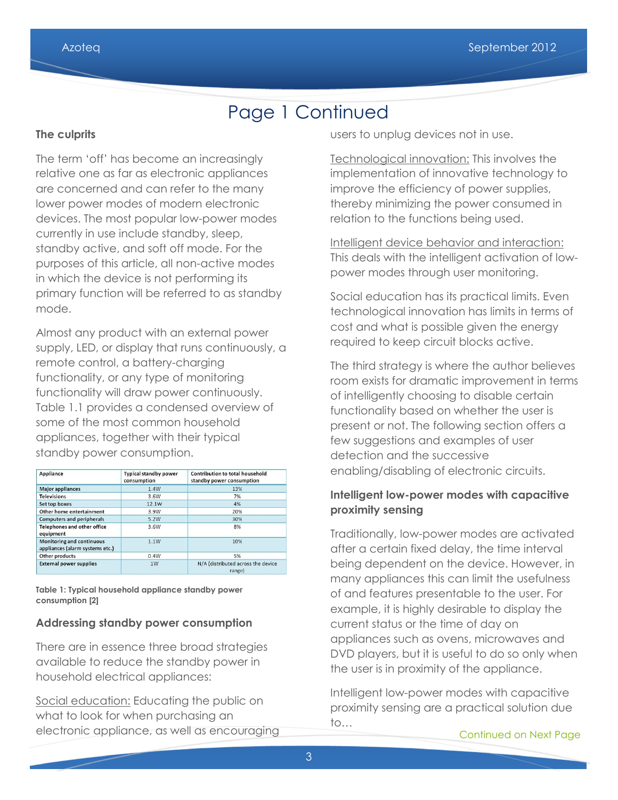## Page 1 Continued

## **The culprits**

The term 'off' has become an increasingly relative one as far as electronic appliances are concerned and can refer to the many lower power modes of modern electronic devices. The most popular low-power modes currently in use include standby, sleep, standby active, and soft off mode. For the purposes of this article, all non-active modes in which the device is not performing its primary function will be referred to as standby mode.

Almost any product with an external power supply, LED, or display that runs continuously, a remote control, a battery-charging functionality, or any type of monitoring functionality will draw power continuously. Table 1.1 provides a condensed overview of some of the most common household appliances, together with their typical standby power consumption.

| Appliance                                                           | <b>Typical standby power</b><br>consumption | Contribution to total household<br>standby power consumption |
|---------------------------------------------------------------------|---------------------------------------------|--------------------------------------------------------------|
| <b>Major appliances</b>                                             | 1.4W                                        | 13%                                                          |
| <b>Televisions</b>                                                  | 3.6W                                        | 7%                                                           |
| Set top boxes                                                       | 12.1W                                       | 4%                                                           |
| Other home entertainment                                            | 3.9W                                        | 20%                                                          |
| <b>Computers and peripherals</b>                                    | 5.2W                                        | 30%                                                          |
| <b>Telephones and other office</b><br>equipment                     | 3.6W                                        | 8%                                                           |
| <b>Monitoring and continuous</b><br>appliances (alarm systems etc.) | 1.1W                                        | 10%                                                          |
| Other products                                                      | 0.4W                                        | 5%                                                           |
| <b>External power supplies</b>                                      | 1W                                          | N/A (distributed across the device<br>range)                 |

**Table 1: Typical household appliance standby power consumption [2]**

## **Addressing standby power consumption**

There are in essence three broad strategies available to reduce the standby power in household electrical appliances:

Social education: Educating the public on what to look for when purchasing an electronic appliance, as well as encouraging users to unplug devices not in use.

Technological innovation: This involves the implementation of innovative technology to improve the efficiency of power supplies, thereby minimizing the power consumed in relation to the functions being used.

Intelligent device behavior and interaction: This deals with the intelligent activation of lowpower modes through user monitoring.

Social education has its practical limits. Even technological innovation has limits in terms of cost and what is possible given the energy required to keep circuit blocks active.

The third strategy is where the author believes room exists for dramatic improvement in terms of intelligently choosing to disable certain functionality based on whether the user is present or not. The following section offers a few suggestions and examples of user detection and the successive enabling/disabling of electronic circuits.

## **Intelligent low-power modes with capacitive proximity sensing**

Traditionally, low-power modes are activated after a certain fixed delay, the time interval being dependent on the device. However, in many appliances this can limit the usefulness of and features presentable to the user. For example, it is highly desirable to display the current status or the time of day on appliances such as ovens, microwaves and DVD players, but it is useful to do so only when the user is in proximity of the appliance.

Intelligent low-power modes with capacitive proximity sensing are a practical solution due to…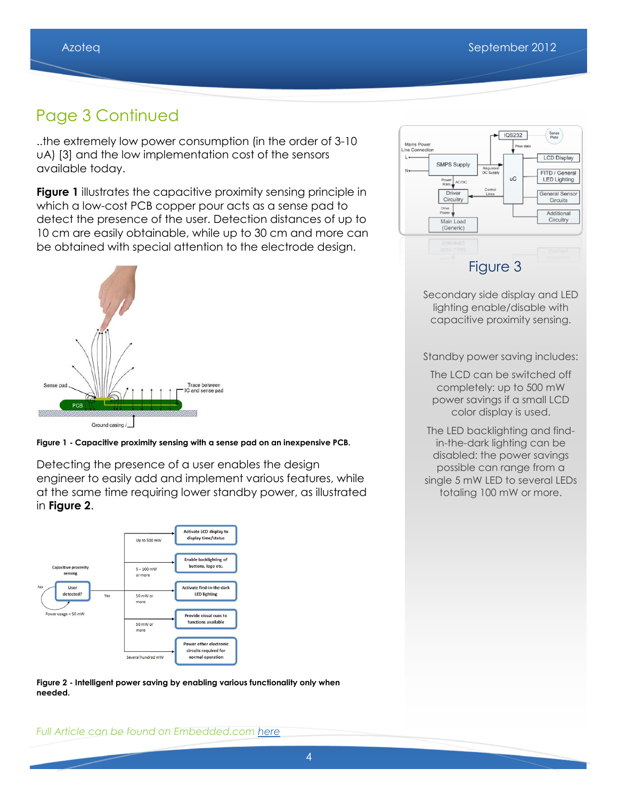## Page 3 Continued

..the extremely low power consumption (in the order of 3-10 uA) [3] and the low implementation cost of the sensors available today.

**Figure 1** illustrates the capacitive proximity sensing principle in which a low-cost PCB copper pour acts as a sense pad to detect the presence of the user. Detection distances of up to 10 cm are easily obtainable, while up to 30 cm and more can be obtained with special attention to the electrode design.



**Figure 1 - Capacitive proximity sensing with a sense pad on an inexpensive PCB.**

Detecting the presence of a user enables the design engineer to easily add and implement various features, while at the same time requiring lower standby power, as illustrated in **Figure 2**.



**Figure 2 - Intelligent power saving by enabling various functionality only when needed.**



Secondary side display and LED lighting enable/disable with capacitive proximity sensing.

Standby power saving includes:

- The LCD can be switched off completely: up to 500 mW power savings if a small LCD color display is used.
- The LED backlighting and findin-the-dark lighting can be disabled: the power savings possible can range from a single 5 mW LED to several LEDs totaling 100 mW or more.

*Full Article can be found on Embedded.com [here](http://www.embedded.com/design/power-optimization/4395685/How-capacitive-sensing-can-reduce-standby-power-in-household-appliances)*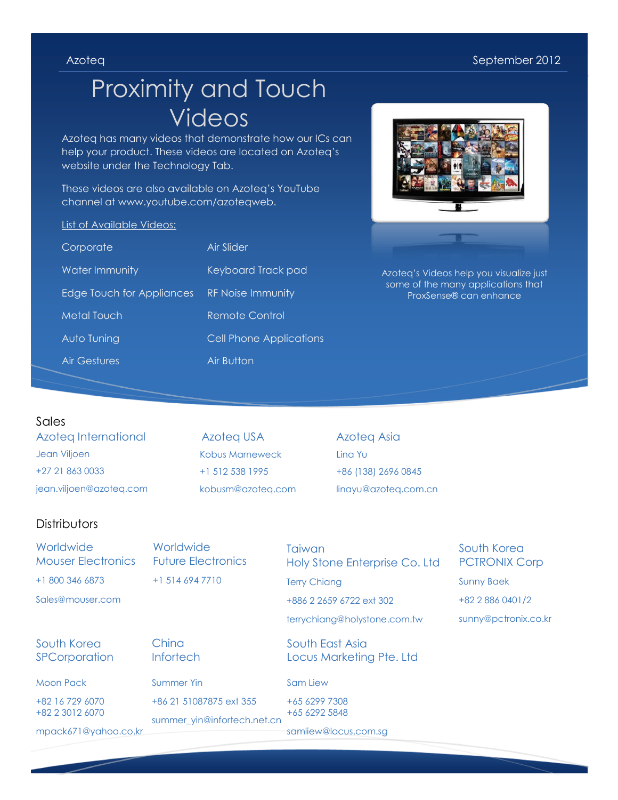# Proximity and Touch Videos

Azoteq has many videos that demonstrate how our ICs can help your product. These videos are located on Azoteq's website under the Technology Tab.

These videos are also available on Azoteq's YouTube channel at www.youtube.com/azoteqweb.

### List of Available Videos:

| Corporate                 | Air Slider                     |
|---------------------------|--------------------------------|
| Water Immunity            | Keyboard Track pad             |
| Edge Touch for Appliances | <b>RF Noise Immunity</b>       |
| Metal Touch               | Remote Control                 |
| Auto Tuning               | <b>Cell Phone Applications</b> |
| Air Gestures              | Air Button                     |



Azoteq's Videos help you visualize just some of the many applications that ProxSense® can enhance

### Sales

Azoteq International Jean Viljoen +27 21 863 0033 jean.viljoen@azoteq.com

Azoteq USA Kobus Marneweck +1 512 538 1995 kobusm@azoteq.com Azoteq Asia Lina Yu +86 (138) 2696 0845 linayu@azoteq.com.cn

## **Distributors**

**Worldwide** Mouser Electronics +1 800 346 6873 Sales@mouser.com

**Worldwide** Future Electronics +1 514 694 7710

**Taiwan** Holy Stone Enterprise Co. Ltd Terry Chiang

+886 2 2659 6722 ext 302

terrychiang@holystone.com.tw

South East Asia Locus Marketing Pte. Ltd

### Sam Liew

+65 6299 7308 +65 6292 5848

samliew@locus.com.sg

South Korea PCTRONIX Corp Sunny Baek +82 2 886 0401/2 sunny@pctronix.co.kr

## South Korea **SPCorporation**

Moon Pack

+82 16 729 6070 +82 2 3012 6070

mpack671@yahoo.co.kr

**China Infortech** 

Summer Yin +86 21 51087875 ext 355

summer\_yin@infortech.net.cn